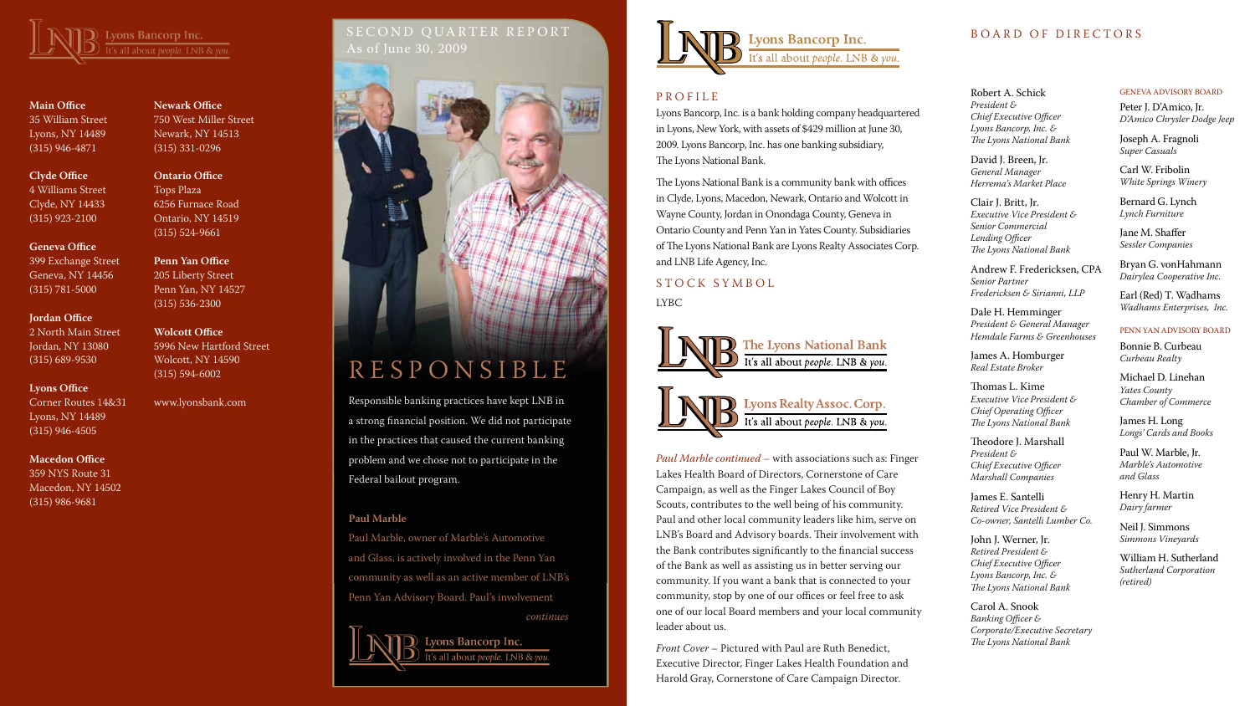# SECOND QUARTER REPORT As of June 30, 2009





**Main Office** 35 William Street Lyons, NY 14489 (315) 946-4871

**Clyde Office** 4 Williams Street

Clyde, NY 14433 (315) 923-2100

# **Geneva Office**

399 Exchange Street Geneva, NY 14456 (315) 781-5000

## **Jordan Office**

2 North Main Street Jordan, NY 13080 (315) 689-9530

# **Lyons Office**

Corner Routes 14&31 Lyons, NY 14489 (315) 946-4505

# **Macedon Office**

359 NYS Route 31 Macedon, NY 14502 (315) 986-9681

**Newark Office** 750 West Miller Street Newark, NY 14513 (315) 331-0296

**Ontario Office** Tops Plaza 6256 Furnace Road Ontario, NY 14519 (315) 524-9661

# **Penn Yan Office**

205 Liberty Street Penn Yan, NY 14527 (315) 536-2300

STOCK SYMBOL LYBC



# **Wolcott Office**

5996 New Hartford Street Wolcott, NY 14590 (315) 594-6002

www.lyonsbank.com

Lyons Bancorp, Inc. is a bank holding company headquartered in Lyons, New York, with assets of \$429 million at June 30, 2009. Lyons Bancorp, Inc. has one banking subsidiary, The Lyons National Bank.

The Lyons National Bank is a community bank with offices in Clyde, Lyons, Macedon, Newark, Ontario and Wolcott in Wayne County, Jordan in Onondaga County, Geneva in Ontario County and Penn Yan in Yates County. Subsidiaries of The Lyons National Bank are Lyons Realty Associates Corp. and LNB Life Agency, Inc.

### Robert A. Schick

*President & Chief Executive Officer Lyons Bancorp, Inc. & The Lyons National Bank*

David J. Breen, Jr. *General Manager Herrema's Market Place*

Clair J. Britt, Jr. *Executive Vice President & Senior Commercial Lending Officer The Lyons National Bank*

Andrew F. Fredericksen, CPA *Senior Partner Fredericksen & Sirianni, LLP*

Dale H. Hemminger *President & General Manager Hemdale Farms & Greenhouses*

James A. Homburger *Real Estate Broker*

Thomas L. Kime *Executive Vice President & Chief Operating Officer The Lyons National Bank*

Theodore J. Marshall *President & Chief Executive Officer Marshall Companies*

James E. Santelli *Retired Vice President & Co-owner, Santelli Lumber Co.*

John J. Werner, Jr. *Retired President & Chief Executive Officer Lyons Bancorp, Inc. & The Lyons National Bank*

Carol A. Snook *Banking Officer & Corporate/Executive Secretary The Lyons National Bank*

#### Geneva Advisory Board

Peter J. D'Amico, Jr. *D'Amico Chrysler Dodge Jeep*

Joseph A. Fragnoli *Super Casuals*

Carl W. Fribolin *White Springs Winery*

Bernard G. Lynch *Lynch Furniture*

Jane M. Shaffer *Sessler Companies*

Bryan G. vonHahmann *Dairylea Cooperative Inc.*

Earl (Red) T. Wadhams *Wadhams Enterprises, Inc.*

### Penn Yan Advisory Board

Bonnie B. Curbeau *Curbeau Realty*

Michael D. Linehan *Yates County Chamber of Commerce*

James H. Long *Longs' Cards and Books*

Paul W. Marble, Jr. *Marble's Automotive and Glass*

Henry H. Martin *Dairy farmer*

Neil J. Simmons *Simmons Vineyards*

William H. Sutherland *Sutherland Corporation (retired)*

# R E S P O N S I B L E

Responsible banking practices have kept LNB in a strong financial position. We did not participate in the practices that caused the current banking problem and we chose not to participate in the Federal bailout program.

# **Paul Marble**

Paul Marble, owner of Marble's Automotive and Glass, is actively involved in the Penn Yan community as well as an active member of LNB's Penn Yan Advisory Board. Paul's involvement *continues*

> Lyons Bancorp Inc. 's all about *people*. LNB & vou.



# **PROFILE**

*Paul Marble continued* – with associations such as: Finger Lakes Health Board of Directors, Cornerstone of Care Campaign, as well as the Finger Lakes Council of Boy Scouts, contributes to the well being of his community. Paul and other local community leaders like him, serve on LNB's Board and Advisory boards. Their involvement with the Bank contributes significantly to the financial success of the Bank as well as assisting us in better serving our community. If you want a bank that is connected to your community, stop by one of our offices or feel free to ask one of our local Board members and your local community leader about us.

*Front Cover* – Pictured with Paul are Ruth Benedict, Executive Director, Finger Lakes Health Foundation and Harold Gray, Cornerstone of Care Campaign Director.

# BOARD OF DIRECTORS